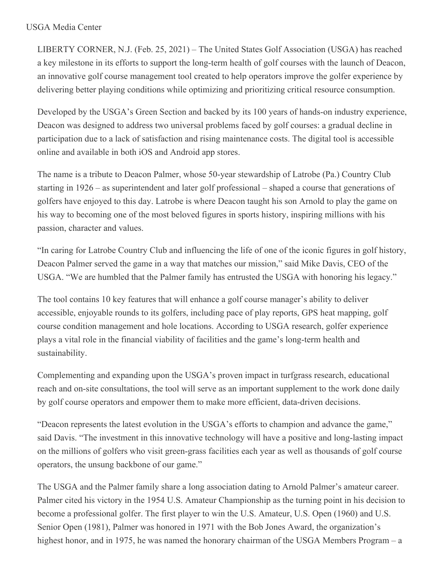## USGA Media Center

LIBERTY CORNER, N.J. (Feb. 25, 2021) – The United States Golf Association (USGA) has reached a key milestone in its efforts to support the long-term health of golf courses with the launch of Deacon, an innovative golf course management tool created to help operators improve the golfer experience by delivering better playing conditions while optimizing and prioritizing critical resource consumption.

Developed by the USGA's Green Section and backed by its 100 years of hands-on industry experience, Deacon was designed to address two universal problems faced by golf courses: a gradual decline in participation due to a lack of satisfaction and rising maintenance costs. The digital tool is accessible online and available in both iOS and Android app stores.

The name is a tribute to Deacon Palmer, whose 50-year stewardship of Latrobe (Pa.) Country Club starting in 1926 – as superintendent and later golf professional – shaped a course that generations of golfers have enjoyed to this day. Latrobe is where Deacon taught his son Arnold to play the game on his way to becoming one of the most beloved figures in sports history, inspiring millions with his passion, character and values.

"In caring for Latrobe Country Club and influencing the life of one of the iconic figures in golf history, Deacon Palmer served the game in a way that matches our mission," said Mike Davis, CEO of the USGA. "We are humbled that the Palmer family has entrusted the USGA with honoring his legacy."

The tool contains 10 key features that will enhance a golf course manager's ability to deliver accessible, enjoyable rounds to its golfers, including pace of play reports, GPS heat mapping, golf course condition management and hole locations. According to USGA research, golfer experience plays a vital role in the financial viability of facilities and the game's long-term health and sustainability.

Complementing and expanding upon the USGA's proven impact in turfgrass research, educational reach and on-site consultations, the tool will serve as an important supplement to the work done daily by golf course operators and empower them to make more efficient, data-driven decisions.

"Deacon represents the latest evolution in the USGA's efforts to champion and advance the game," said Davis. "The investment in this innovative technology will have a positive and long-lasting impact on the millions of golfers who visit green-grass facilities each year as well as thousands of golf course operators, the unsung backbone of our game."

The USGA and the Palmer family share a long association dating to Arnold Palmer's amateur career. Palmer cited his victory in the 1954 U.S. Amateur Championship as the turning point in his decision to become a professional golfer. The first player to win the U.S. Amateur, U.S. Open (1960) and U.S. Senior Open (1981), Palmer was honored in 1971 with the Bob Jones Award, the organization's highest honor, and in 1975, he was named the honorary chairman of the USGA Members Program – a